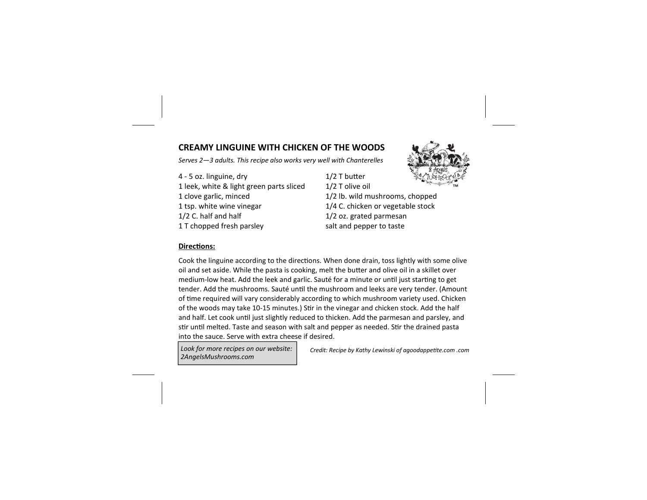## **CREAMY LINGUINE WITH CHICKEN OF THE WOODS**

*Serves 2—3 adults. This recipe also works very well with Chanterelles* 

4 - 5 oz. linguine, dry 1/2 T butter 1 leek, white & light green parts sliced 1/2 T olive oil 1 clove garlic, minced 1/2 lb. wild mushrooms, chopped 1 tsp. white wine vinegar 1/4 C. chicken or vegetable stock 1/2 C. half and half 1/2 oz. grated parmesan 1 T chopped fresh parsley salt and pepper to taste



## **Directions:**

Cook the linguine according to the directions. When done drain, toss lightly with some olive oil and set aside. While the pasta is cooking, melt the butter and olive oil in a skillet over medium-low heat. Add the leek and garlic. Sauté for a minute or until just starting to get tender. Add the mushrooms. Sauté until the mushroom and leeks are very tender. (Amount of time required will vary considerably according to which mushroom variety used. Chicken of the woods may take 10-15 minutes.) Stir in the vinegar and chicken stock. Add the half and half. Let cook until just slightly reduced to thicken. Add the parmesan and parsley, and stir until melted. Taste and season with salt and pepper as needed. Stir the drained pasta into the sauce. Serve with extra cheese if desired.

*Look for more recipes on our website: 2AngelsMushrooms.com* 

*Credit: Recipe by Kathy Lewinski of agoodappetite.com .com*